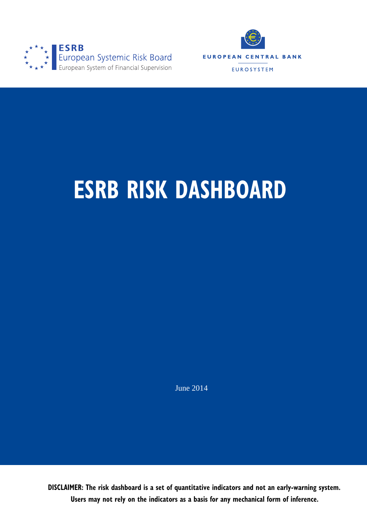



# **ESRB RISK DASHBOARD**

June 2014

**DISCLAIMER: The risk dashboard is a set of quantitative indicators and not an early-warning system. Users may not rely on the indicators as a basis for any mechanical form of inference.**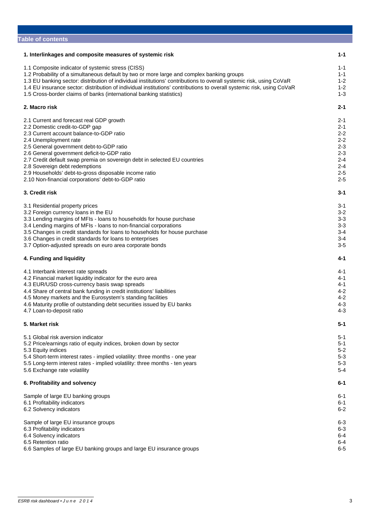| <b>Table of contents</b>                                                                                                                                                                                                                                                                                                                                                                                                                                                 |                                                                                                            |
|--------------------------------------------------------------------------------------------------------------------------------------------------------------------------------------------------------------------------------------------------------------------------------------------------------------------------------------------------------------------------------------------------------------------------------------------------------------------------|------------------------------------------------------------------------------------------------------------|
| 1. Interlinkages and composite measures of systemic risk                                                                                                                                                                                                                                                                                                                                                                                                                 | $1 - 1$                                                                                                    |
| 1.1 Composite indicator of systemic stress (CISS)<br>1.2 Probability of a simultaneous default by two or more large and complex banking groups<br>1.3 EU banking sector: distribution of individual institutions' contributions to overall systemic risk, using CoVaR<br>1.4 EU insurance sector: distribution of individual institutions' contributions to overall systemic risk, using CoVaR<br>1.5 Cross-border claims of banks (international banking statistics)    | $1 - 1$<br>$1 - 1$<br>$1 - 2$<br>$1 - 2$<br>$1 - 3$                                                        |
| 2. Macro risk                                                                                                                                                                                                                                                                                                                                                                                                                                                            | $2 - 1$                                                                                                    |
| 2.1 Current and forecast real GDP growth<br>2.2 Domestic credit-to-GDP gap<br>2.3 Current account balance-to-GDP ratio<br>2.4 Unemployment rate<br>2.5 General government debt-to-GDP ratio<br>2.6 General government deficit-to-GDP ratio<br>2.7 Credit default swap premia on sovereign debt in selected EU countries<br>2.8 Sovereign debt redemptions<br>2.9 Households' debt-to-gross disposable income ratio<br>2.10 Non-financial corporations' debt-to-GDP ratio | $2 - 1$<br>$2 - 1$<br>$2 - 2$<br>$2 - 2$<br>$2 - 3$<br>$2 - 3$<br>$2 - 4$<br>$2 - 4$<br>$2 - 5$<br>$2 - 5$ |
| 3. Credit risk                                                                                                                                                                                                                                                                                                                                                                                                                                                           | $3 - 1$                                                                                                    |
| 3.1 Residential property prices<br>3.2 Foreign currency loans in the EU<br>3.3 Lending margins of MFIs - loans to households for house purchase<br>3.4 Lending margins of MFIs - loans to non-financial corporations<br>3.5 Changes in credit standards for loans to households for house purchase<br>3.6 Changes in credit standards for loans to enterprises<br>3.7 Option-adjusted spreads on euro area corporate bonds                                               | 3-1<br>$3 - 2$<br>$3 - 3$<br>$3 - 3$<br>$3 - 4$<br>$3 - 4$<br>$3-5$                                        |
| 4. Funding and liquidity                                                                                                                                                                                                                                                                                                                                                                                                                                                 | 4-1                                                                                                        |
| 4.1 Interbank interest rate spreads<br>4.2 Financial market liquidity indicator for the euro area<br>4.3 EUR/USD cross-currency basis swap spreads<br>4.4 Share of central bank funding in credit institutions' liabilities<br>4.5 Money markets and the Eurosystem's standing facilities<br>4.6 Maturity profile of outstanding debt securities issued by EU banks<br>4.7 Loan-to-deposit ratio                                                                         | $4 - 1$<br>$4 - 1$<br>$4 - 1$<br>$4 - 2$<br>$4 - 2$<br>$4 - 3$<br>$4 - 3$                                  |
| 5. Market risk                                                                                                                                                                                                                                                                                                                                                                                                                                                           | $5 - 1$                                                                                                    |
| 5.1 Global risk aversion indicator<br>5.2 Price/earnings ratio of equity indices, broken down by sector<br>5.3 Equity indices<br>5.4 Short-term interest rates - implied volatility: three months - one year<br>5.5 Long-term interest rates - implied volatility: three months - ten years<br>5.6 Exchange rate volatility                                                                                                                                              | $5 - 1$<br>$5 - 1$<br>$5 - 2$<br>$5 - 3$<br>$5 - 3$<br>$5 - 4$                                             |
| 6. Profitability and solvency                                                                                                                                                                                                                                                                                                                                                                                                                                            | $6 - 1$                                                                                                    |
| Sample of large EU banking groups<br>6.1 Profitability indicators<br>6.2 Solvency indicators                                                                                                                                                                                                                                                                                                                                                                             | 6-1<br>6-1<br>$6 - 2$                                                                                      |
| Sample of large EU insurance groups<br>6.3 Profitability indicators<br>6.4 Solvency indicators<br>6.5 Retention ratio<br>6.6 Samples of large EU banking groups and large EU insurance groups                                                                                                                                                                                                                                                                            | $6 - 3$<br>6-3<br>$6 - 4$<br>$6 - 4$<br>$6-5$                                                              |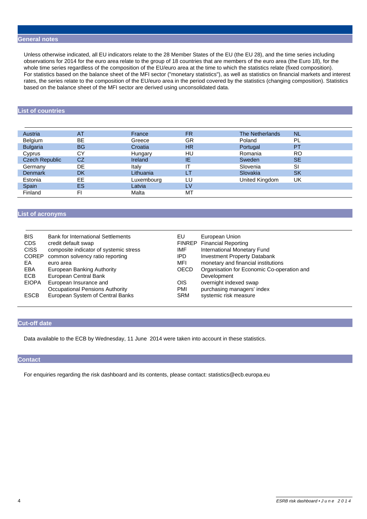#### **General notes**

 Unless otherwise indicated, all EU indicators relate to the 28 Member States of the EU (the EU 28), and the time series including observations for 2014 for the euro area relate to the group of 18 countries that are members of the euro area (the Euro 18), for the whole time series regardless of the composition of the EU/euro area at the time to which the statistics relate (fixed composition). For statistics based on the balance sheet of the MFI sector ("monetary statistics"), as well as statistics on financial markets and interest rates, the series relate to the composition of the EU/euro area in the period covered by the statistics (changing composition). Statistics based on the balance sheet of the MFI sector are derived using unconsolidated data.

## **List of countries**

| Austria               | <b>AT</b> | France     | <b>FR</b> | The Netherlands | <b>NL</b> |  |
|-----------------------|-----------|------------|-----------|-----------------|-----------|--|
| Belgium               | BE.       | Greece     | GR        | Poland          | PL        |  |
| <b>Bulgaria</b>       | <b>BG</b> | Croatia    | HR        | Portugal        | <b>PT</b> |  |
| Cyprus                | <b>CY</b> | Hungary    | HU        | Romania         | RO        |  |
| <b>Czech Republic</b> | CZ        | Ireland    | ΙE        | Sweden          | <b>SE</b> |  |
| Germany               | DE.       | Italy      | ΙT        | Slovenia        | <b>SI</b> |  |
| <b>Denmark</b>        | <b>DK</b> | Lithuania  | LТ        | Slovakia        | <b>SK</b> |  |
| Estonia               | EE.       | Luxembourg | LU        | United Kingdom  | UK        |  |
| Spain                 | <b>ES</b> | Latvia     | LV        |                 |           |  |
| Finland               | FI.       | Malta      | МT        |                 |           |  |
|                       |           |            |           |                 |           |  |

### **List of acronyms**

| <b>BIS</b><br><b>CDS</b><br><b>CISS</b><br><b>COREP</b><br>EA<br>EBA<br>ECB<br><b>EIOPA</b> | <b>Bank for International Settlements</b><br>credit default swap<br>composite indicator of systemic stress<br>common solvency ratio reporting<br>euro area<br>European Banking Authority<br>European Central Bank<br>European Insurance and<br>Occupational Pensions Authority | EU<br>IMF<br>IPD.<br>MFI<br>OECD<br>OIS<br>PMI | European Union<br><b>FINREP</b> Financial Reporting<br>International Monetary Fund<br><b>Investment Property Databank</b><br>monetary and financial institutions<br>Organisation for Economic Co-operation and<br>Development<br>overnight indexed swap<br>purchasing managers' index |
|---------------------------------------------------------------------------------------------|--------------------------------------------------------------------------------------------------------------------------------------------------------------------------------------------------------------------------------------------------------------------------------|------------------------------------------------|---------------------------------------------------------------------------------------------------------------------------------------------------------------------------------------------------------------------------------------------------------------------------------------|
| <b>ESCB</b>                                                                                 | European System of Central Banks                                                                                                                                                                                                                                               | <b>SRM</b>                                     | systemic risk measure                                                                                                                                                                                                                                                                 |
|                                                                                             |                                                                                                                                                                                                                                                                                |                                                |                                                                                                                                                                                                                                                                                       |

### **Cut-off date**

Data available to the ECB by Wednesday, 11 June 2014 were taken into account in these statistics.

#### **Contact**

For enquiries regarding the risk dashboard and its contents, please contact: statistics@ecb.europa.eu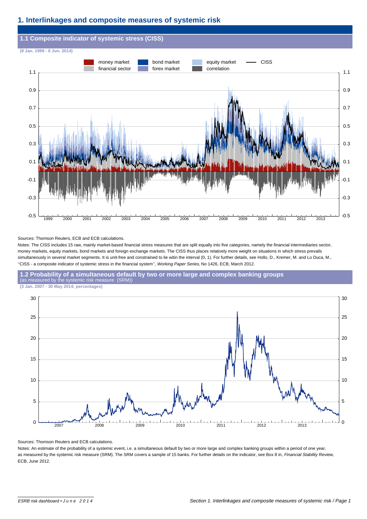# **1. Interlinkages and composite measures of systemic risk**



#### Sources: Thomson Reuters, ECB and ECB calculations.

Notes: The CISS includes 15 raw, mainly market-based financial stress measures that are split equally into five categories, namely the financial intermediaries sector, money markets, equity markets, bond markets and foreign exchange markets. The CISS thus places relatively more weight on situations in which stress prevails simultaneously in several market segments. It is unit-free and constrained to lie witin the interval (0, 1). For further details, see Hollo, D., Kremer, M. and Lo Duca, M., ''CISS - a composite indicator of systemic stress in the financial system'', Working Paper Series, No 1426, ECB, March 2012.







Sources: Thomson Reuters and ECB calculations.

Notes: An estimate of the probability of a systemic event, i.e. a simultaneous default by two or more large and complex banking groups within a period of one year, as measured by the systemic risk measure (SRM). The SRM covers a sample of 15 banks. For further details on the indicator, see Box 8 in, Financial Stability Review, ECB, June 2012.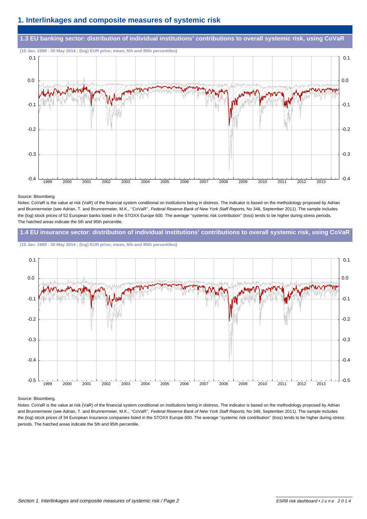# **1. Interlinkages and composite measures of systemic risk**



#### Source: Bloomberg.

Notes: CoVaR is the value at risk (VaR) of the financial system conditional on institutions being in distress. The indicator is based on the methodology proposed by Adrian and Brunnermeier (see Adrian, T. and Brunnermeier, M.K., "CoVaR", Federal Reserve Bank of New York Staff Reports, No 348, September 2011). The sample includes the (log) stock prices of 52 European banks listed in the STOXX Europe 600. The average ''systemic risk contribution'' (loss) tends to be higher during stress periods. The hatched areas indicate the 5th and 95th percentile.

### **1.4 EU insurance sector: distribution of individual institutions' contributions to overall systemic risk, using CoVaR**

**(15 Jan. 1999 - 30 May 2014 ; (log) EUR price; mean, 5th and 95th percentiles)**



#### Source: Bloomberg.

Notes: CoVaR is the value at risk (VaR) of the financial system conditional on institutions being in distress. The indicator is based on the methodology proposed by Adrian and Brunnermeier (see Adrian, T. and Brunnermeier, M.K., "CoVaR", Federal Reserve Bank of New York Staff Reports, No 348, September 2011). The sample includes the (log) stock prices of 34 European insurance companies listed in the STOXX Europe 600. The average ''systemic risk contribution'' (loss) tends to be higher during stress periods. The hatched areas indicate the 5th and 95th percentile.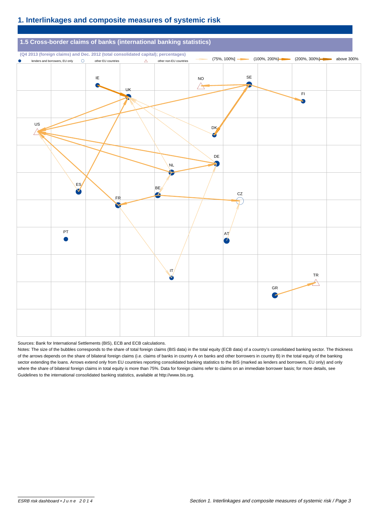# **1. Interlinkages and composite measures of systemic risk**



#### Sources: Bank for International Settlements (BIS), ECB and ECB calculations.

Notes: The size of the bubbles corresponds to the share of total foreign claims (BIS data) in the total equity (ECB data) of a country's consolidated banking sector. The thickness of the arrows depends on the share of bilateral foreign claims (i.e. claims of banks in country A on banks and other borrowers in country B) in the total equity of the banking sector extending the loans. Arrows extend only from EU countries reporting consolidated banking statistics to the BIS (marked as lenders and borrowers, EU only) and only where the share of bilateral foreign claims in total equity is more than 75%. Data for foreign claims refer to claims on an immediate borrower basis; for more details, see Guidelines to the international consolidated banking statistics, available at http://www.bis.org.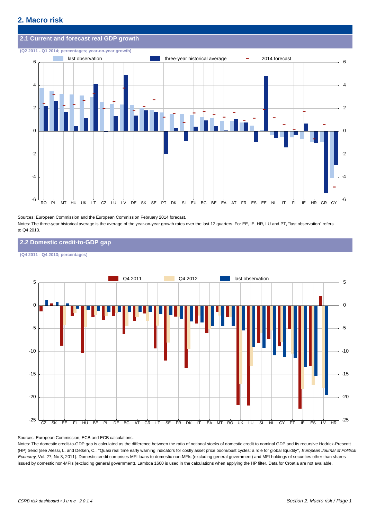

Sources: European Commission and the European Commission February 2014 forecast. Notes: The three-year historical average is the average of the year-on-year growth rates over the last 12 quarters. For EE, IE, HR, LU and PT, "last observation" refers to Q4 2013.

#### **2.2 Domestic credit-to-GDP gap**

**(Q4 2011 - Q4 2013; percentages)**



Sources: European Commission, ECB and ECB calculations.

Notes: The domestic credit-to-GDP gap is calculated as the difference between the ratio of notional stocks of domestic credit to nominal GDP and its recursive Hodrick-Prescott (HP) trend (see Alessi, L. and Detken, C., "Quasi real time early warning indicators for costly asset price boom/bust cycles: a role for global liquidity", European Journal of Political Economy, Vol. 27, No 3, 2011). Domestic credit comprises MFI loans to domestic non-MFIs (excluding general government) and MFI holdings of securities other than shares issued by domestic non-MFIs (excluding general government). Lambda 1600 is used in the calculations when applying the HP filter. Data for Croatia are not available.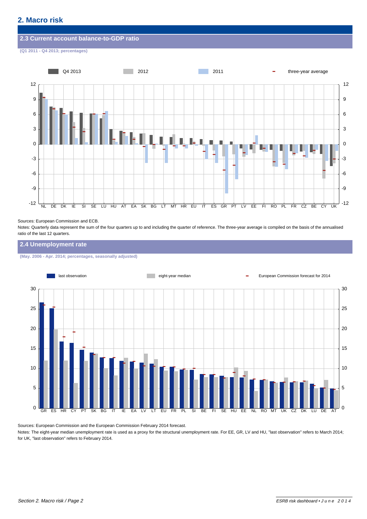#### **2.3 Current account balance-to-GDP ratio**

**(Q1 2011 - Q4 2013; percentages)**



#### Sources: European Commission and ECB.

Notes: Quarterly data represent the sum of the four quarters up to and including the quarter of reference. The three-year average is compiled on the basis of the annualised ratio of the last 12 quarters.

#### **2.4 Unemployment rate**

**(May. 2006 - Apr. 2014; percentages, seasonally adjusted)**



Sources: European Commission and the European Commission February 2014 forecast.

Notes: The eight-year median unemployment rate is used as a proxy for the structural unemployment rate. For EE, GR, LV and HU, "last observation" refers to March 2014; for UK, "last observation" refers to February 2014.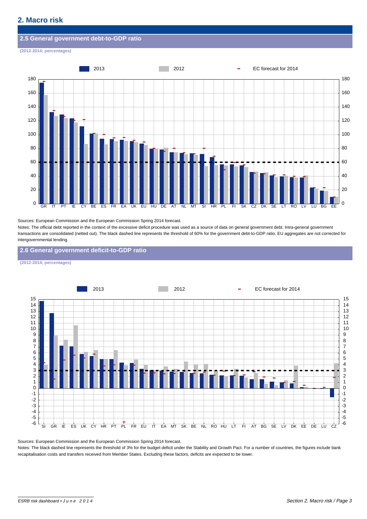#### **2.5 General government debt-to-GDP ratio**

**(2012-2014; percentages)**



Sources: European Commission and the European Commission Spring 2014 forecast.

Notes: The official debt reported in the context of the excessive deficit procedure was used as a source of data on general government debt. Intra-general government transactions are consolidated (netted out). The black dashed line represents the threshold of 60% for the government debt-to-GDP ratio. EU aggregates are not corrected for intergovernmental lending.

**2.6 General government deficit-to-GDP ratio**

**(2012-2014; percentages)**



Sources: European Commission and the European Commission Spring 2014 forecast.

Notes: The black dashed line represents the threshold of 3% for the budget deficit under the Stability and Growth Pact. For a number of countries, the figures include bank recapitalisation costs and transfers received from Member States. Excluding these factors, deficits are expected to be lower.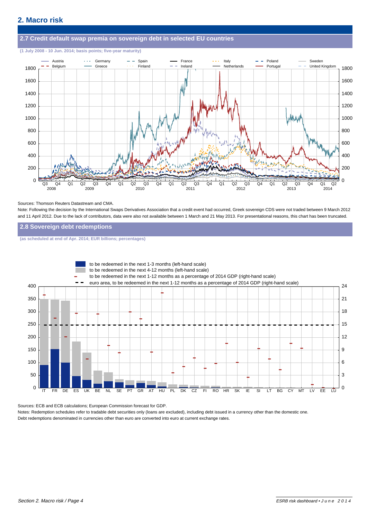# **2.7 Credit default swap premia on sovereign debt in selected EU countries**

#### **(1 July 2008 - 10 Jun. 2014; basis points; five-year maturity)**



#### Sources: Thomson Reuters Datastream and CMA.

Note: Following the decision by the International Swaps Derivatives Association that a credit event had occurred, Greek sovereign CDS were not traded between 9 March 2012 and 11 April 2012. Due to the lack of contributors, data were also not available between 1 March and 21 May 2013. For presentational reasons, this chart has been truncated.

#### **2.8 Sovereign debt redemptions**

**(as scheduled at end of Apr. 2014; EUR billions; percentages)**



Sources: ECB and ECB calculations; European Commission forecast for GDP.

Notes: Redemption schedules refer to tradable debt securities only (loans are excluded), including debt issued in a currency other than the domestic one. Debt redemptions denominated in currencies other than euro are converted into euro at current exchange rates.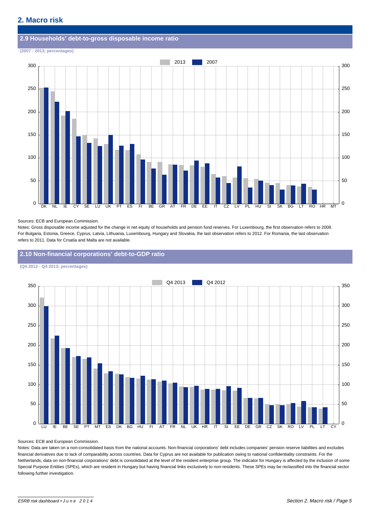# **2.9 Households' debt-to-gross disposable income ratio**

**(2007 - 2013; percentages)**



#### Sources: ECB and European Commission.

Notes: Gross disposable income adjusted for the change in net equity of households and pension fund reserves. For Luxembourg, the first observation refers to 2008. For Bulgaria, Estonia, Greece, Cyprus, Latvia, Lithuania, Luxembourg, Hungary and Slovakia, the last observation refers to 2012. For Romania, the last observation refers to 2011. Data for Croatia and Malta are not available.

**2.10 Non-financial corporations' debt-to-GDP ratio**

**(Q4 2012 - Q4 2013; percentages)**



#### Sources: ECB and European Commission.

Notes: Data are taken on a non-consolidated basis from the national accounts. Non-financial corporations' debt includes companies' pension reserve liabilities and excludes financial derivatives due to lack of comparability across countries. Data for Cyprus are not available for publication owing to national confidentiality constraints. For the Netherlands, data on non-financial corporations' debt is consolidated at the level of the resident enterprise group. The indicator for Hungary is affected by the inclusion of some Special Purpose Entities (SPEs), which are resident in Hungary but having financial links exclusively to non-residents. These SPEs may be reclassified into the financial sector following further investigation.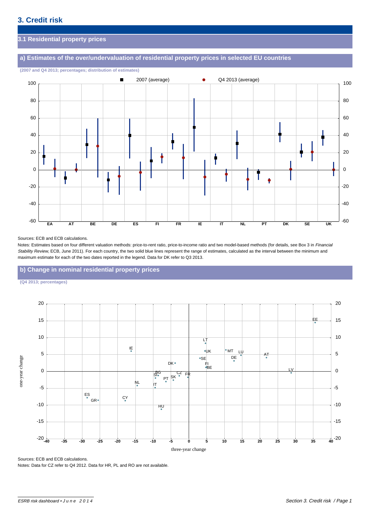# **3.1 Residential property prices**

# **a) Estimates of the over/undervaluation of residential property prices in selected EU countries**



**(2007 and Q4 2013; percentages; distribution of estimates)**

#### Sources: ECB and ECB calculations.

Notes: Estimates based on four different valuation methods: price-to-rent ratio, price-to-income ratio and two model-based methods (for details, see Box 3 in Financial Stability Review, ECB, June 2011). For each country, the two solid blue lines represent the range of estimates, calculated as the interval between the minimum and maximum estimate for each of the two dates reported in the legend. Data for DK refer to Q3 2013.

### **b) Change in nominal residential property prices**

**(Q4 2013; percentages)**



Sources: ECB and ECB calculations.

Notes: Data for CZ refer to Q4 2012. Data for HR, PL and RO are not available.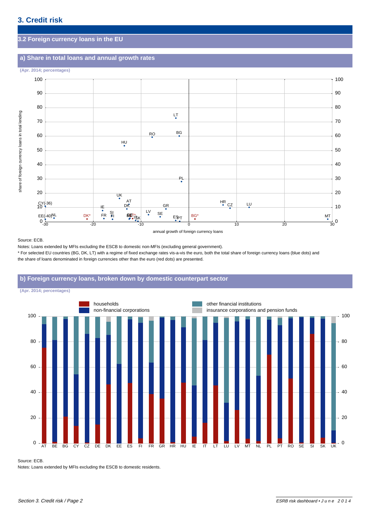# **3.2 Foreign currency loans in the EU**

# **a) Share in total loans and annual growth rates**



annual growth of foreign currency loans

Source: ECB.

Notes: Loans extended by MFIs excluding the ESCB to domestic non-MFIs (excluding general government).

\* For selected EU countries (BG, DK, LT) with a regime of fixed exchange rates vis-a-vis the euro, both the total share of foreign currency loans (blue dots) and the share of loans denominated in foreign currencies other than the euro (red dots) are presented.

## **b) Foreign currency loans, broken down by domestic counterpart sector**

**(Apr. 2014; percentages)**



#### Source: ECB.

Notes: Loans extended by MFIs excluding the ESCB to domestic residents.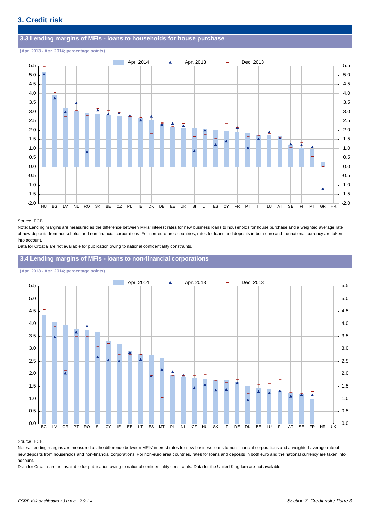#### **3.3 Lending margins of MFIs - loans to households for house purchase**

**(Apr. 2013 - Apr. 2014; percentage points)**



#### Source: ECB.

Note: Lending margins are measured as the difference between MFIs' interest rates for new business loans to households for house purchase and a weighted average rate of new deposits from households and non-financial corporations. For non-euro area countries, rates for loans and deposits in both euro and the national currency are taken into account.

Data for Croatia are not available for publication owing to national confidentiality constraints.

### **3.4 Lending margins of MFIs - loans to non-financial corporations**

#### **(Apr. 2013 - Apr. 2014; percentage points)**



#### Source: ECB.

Notes: Lending margins are measured as the difference between MFIs' interest rates for new business loans to non-financial corporations and a weighted average rate of new deposits from households and non-financial corporations. For non-euro area countries, rates for loans and deposits in both euro and the national currency are taken into account.

Data for Croatia are not available for publication owing to national confidentiality constraints. Data for the United Kingdom are not available.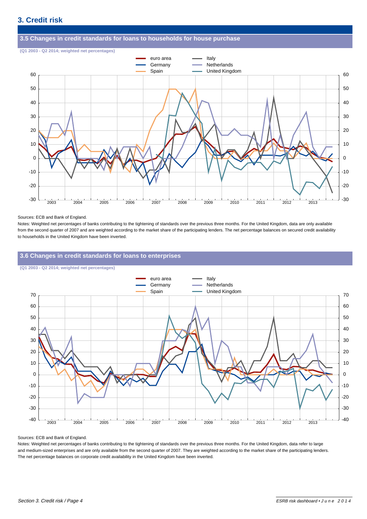#### **3.5 Changes in credit standards for loans to households for house purchase**

**(Q1 2003 - Q2 2014; weighted net percentages)**



#### Sources: ECB and Bank of England.

Notes: Weighted net percentages of banks contributing to the tightening of standards over the previous three months. For the United Kingdom, data are only available from the second quarter of 2007 and are weighted according to the market share of the participating lenders. The net percentage balances on secured credit availability to households in the United Kingdom have been inverted.

### **3.6 Changes in credit standards for loans to enterprises**

**(Q1 2003 - Q2 2014; weighted net percentages)**



#### Sources: ECB and Bank of England.

Notes: Weighted net percentages of banks contributing to the tightening of standards over the previous three months. For the United Kingdom, data refer to large and medium-sized enterprises and are only available from the second quarter of 2007. They are weighted according to the market share of the participating lenders. The net percentage balances on corporate credit availability in the United Kingdom have been inverted.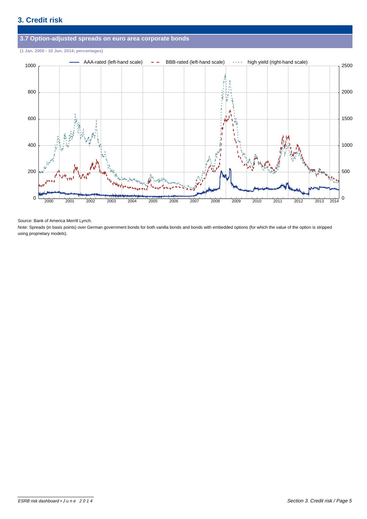

Source: Bank of America Merrill Lynch.

Note: Spreads (in basis points) over German government bonds for both vanilla bonds and bonds with embedded options (for which the value of the option is stripped using proprietary models).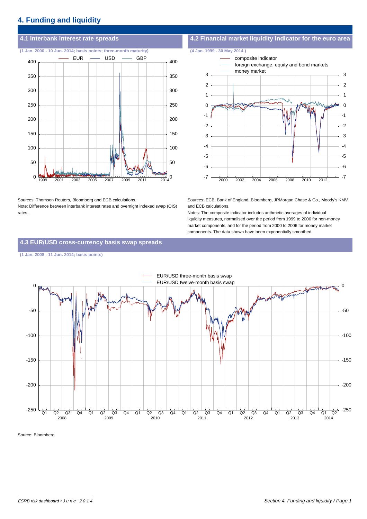# **4. Funding and liquidity**

**(1 Jan. 2000 - 10 Jun. 2014; basis points; three-month maturity) (4 Jan. 1999 - 30 May 2014 )**



Sources: Thomson Reuters, Bloomberg and ECB calculations. Note: Difference between interbank interest rates and overnight indexed swap (OIS) rates.

# **4.1 Interbank interest rate spreads 4.2 Financial market liquidity indicator for the euro area**



Sources: ECB, Bank of England, Bloomberg, JPMorgan Chase & Co., Moody's KMV and ECB calculations.

Notes: The composite indicator includes arithmetic averages of individual liquidity measures, normalised over the period from 1999 to 2006 for non-money market components, and for the period from 2000 to 2006 for money market components. The data shown have been exponentially smoothed.

## **4.3 EUR/USD cross-currency basis swap spreads**

#### **(1 Jan. 2008 - 11 Jun. 2014; basis points)**



Source: Bloomberg.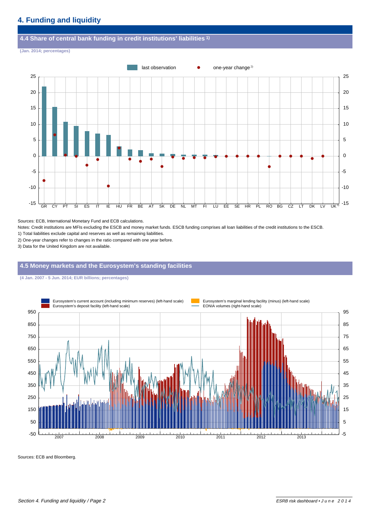#### **4.4 Share of central bank funding in credit institutions' liabilities 1)**

**(Jan. 2014; percentages)**



Sources: ECB, International Monetary Fund and ECB calculations.

Notes: Credit institutions are MFIs excluding the ESCB and money market funds. ESCB funding comprises all loan liabilities of the credit institutions to the ESCB.

1) Total liabilities exclude capital and reserves as well as remaining liabilities.

2) One-year changes refer to changes in the ratio compared with one year before.

3) Data for the United Kingdom are not available.

#### **4.5 Money markets and the Eurosystem's standing facilities**

**(4 Jan. 2007 - 5 Jun. 2014; EUR billions; percentages)**



Sources: ECB and Bloomberg.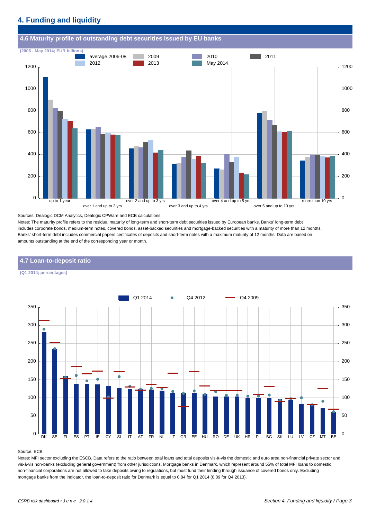# **4. Funding and liquidity**



Sources: Dealogic DCM Analytics, Dealogic CPWare and ECB calculations.

Notes: The maturity profile refers to the residual maturity of long-term and short-term debt securities issued by European banks. Banks' long-term debt includes corporate bonds, medium-term notes, covered bonds, asset-backed securities and mortgage-backed securities with a maturity of more than 12 months. Banks' short-term debt includes commercial papers certificates of deposits and short-term notes with a maximum maturity of 12 months. Data are based on amounts outstanding at the end of the corresponding year or month.

# DK SE FI ES PT IE CY SI IT AT FR NL LT GR EE HU RO DE UK HR PL BG SK LU LV CZ MT BE <sup>0</sup> 50  $100$ 150 200 250 300 350  $\Omega$ 50 100 150 200 250 300 350 Q1 2014 **Q4 2012 Q4 2009**

#### **4.7 Loan-to-deposit ratio**

**(Q1 2014; percentages)**

#### Source: ECB.

Notes: MFI sector excluding the ESCB. Data refers to the ratio between total loans and total deposits vis-à-vis the domestic and euro area non-financial private sector and vis-à-vis non-banks (excluding general government) from other jurisdictions. Mortgage banks in Denmark, which represent around 55% of total MFI loans to domestic non-financial corporations are not allowed to take deposits owing to regulations, but must fund their lending through issuance of covered bonds only. Excluding mortgage banks from the indicator, the loan-to-deposit ratio for Denmark is equal to 0.84 for Q1 2014 (0.89 for Q4 2013).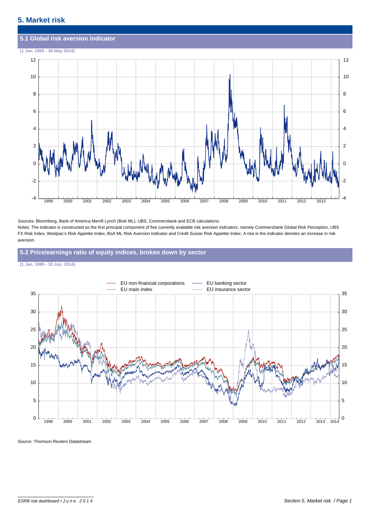# **5.1 Global risk aversion indicator (1 Jan. 1999 - 30 May 2014)** 1999 2000 2001 2002 2003 2004 2005 2006 2007 2008 2009 2010 2011 2012 2013 -4 -2  $\Omega$ 2 4 6 8 10 12 -4 -2 0 2 4 6 8 10 12

Sources: Bloomberg, Bank of America Merrill Lynch (BoA ML), UBS, Commerzbank and ECB calculations. Notes: The indicator is constructed as the first principal component of five currently available risk aversion indicators, namely Commerzbank Global Risk Perception, UBS FX Risk Index, Westpac's Risk Appetite Index, BoA ML Risk Aversion Indicator and Credit Suisse Risk Appetite Index. A rise in the indicator denotes an increase in risk aversion.

### **5.2 Price/earnings ratio of equity indices, broken down by sector**





Source: Thomson Reuters Datastream.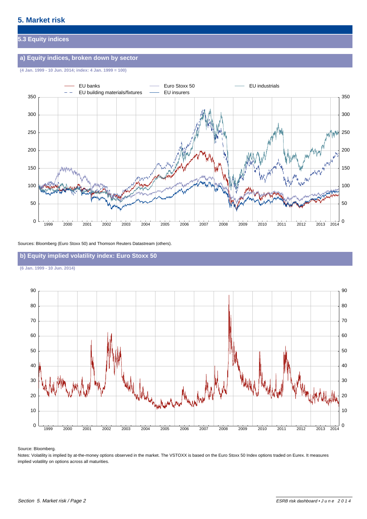# **5.3 Equity indices**

# **a) Equity indices, broken down by sector**

**(4 Jan. 1999 - 10 Jun. 2014; index: 4 Jan. 1999 = 100)**



#### Sources: Bloomberg (Euro Stoxx 50) and Thomson Reuters Datastream (others).

# **b) Equity implied volatility index: Euro Stoxx 50**

**(6 Jan. 1999 - 10 Jun. 2014)**



#### Source: Bloomberg.

Notes: Volatility is implied by at-the-money options observed in the market. The VSTOXX is based on the Euro Stoxx 50 Index options traded on Eurex. It measures implied volatility on options across all maturities.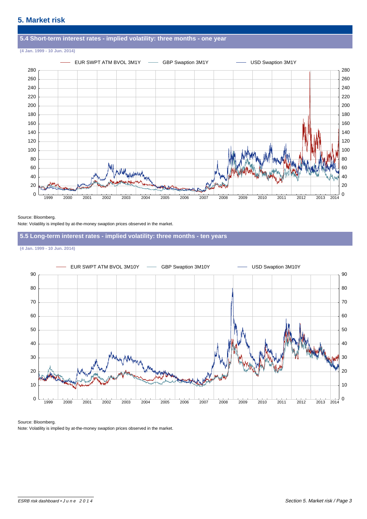

#### Source: Bloomberg.

Note: Volatility is implied by at-the-money swaption prices observed in the market.

### **5.5 Long-term interest rates - implied volatility: three months - ten years**

**(4 Jan. 1999 - 10 Jun. 2014)**



#### Source: Bloomberg.

Note: Volatility is implied by at-the-money swaption prices observed in the market.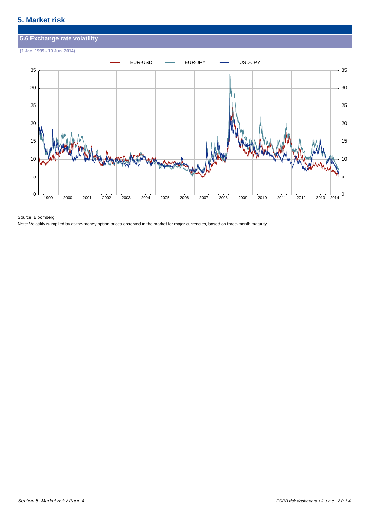

Source: Bloomberg.

Note: Volatility is implied by at-the-money option prices observed in the market for major currencies, based on three-month maturity.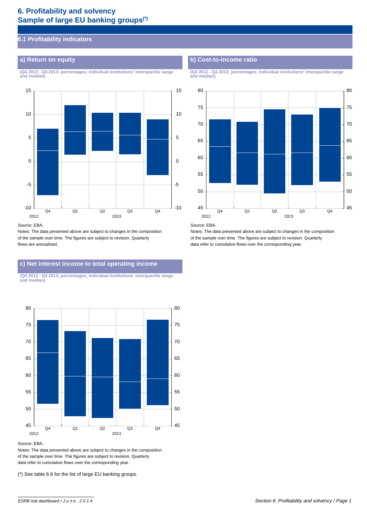# **6. Profitability and solvency Sample of large EU banking groups(\*)**

# **6.1 Profitability indicators**

**and median) and median)**



#### Source: EBA.

Notes: The data presented above are subject to changes in the composition of the sample over time. The figures are subject to revision. Quarterly flows are annualised.

# **c) Net interest income to total operating income**

**(Q4 2012 - Q4 2013; percentages; individual institutions' interquartile range and median)**



Source: EBA.

Notes: The data presented above are subject to changes in the composition of the sample over time. The figures are subject to revision. Quarterly data refer to cumulative flows over the corresponding year.

(\*) See table 6.6 for the list of large EU banking groups.

# **a) Return on equity b) Cost-to-income ratio**

**(Q4 2012 - Q4 2013; percentages; individual institutions' interquartile range (Q4 2012 - Q4 2013; percentages; individual institutions' interquartile range**



#### Source: EBA.

Notes: The data presented above are subject to changes in the composition of the sample over time. The figures are subject to revision. Quarterly data refer to cumulative flows over the corresponding year.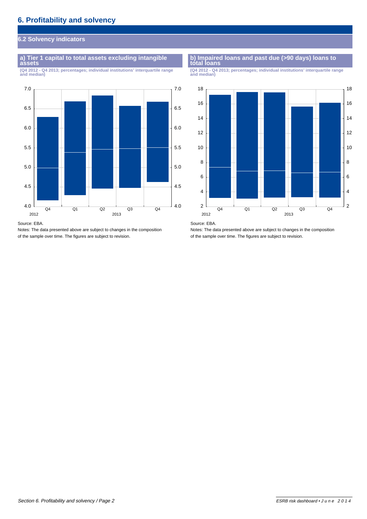# **6.2 Solvency indicators**

### **a) Tier 1 capital to total assets excluding intangible** a) Tier 1 capital to total assets excluding intangible **b** b Impaired loans and past due (>90 days) loans to assets

(Q4 2012 - Q4 2013; percentages; individual institutions' interquartile range



Source: EBA.

Notes: The data presented above are subject to changes in the composition of the sample over time. The figures are subject to revision.

**(Q4 2012 - Q4 2013; percentages; individual institutions' interquartile range (Q4 2012 - Q4 2013; percentages; individual institutions' interquartile range**





Notes: The data presented above are subject to changes in the composition of the sample over time. The figures are subject to revision.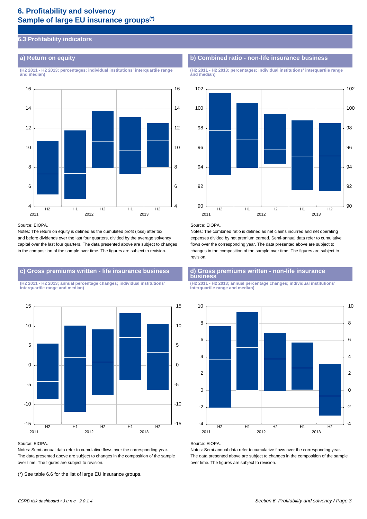# **6. Profitability and solvency Sample of large EU insurance groups(\*)**

# **6.3 Profitability indicators**

**and median) and median)**



#### Source: EIOPA.

Notes: The return on equity is defined as the cumulated profit (loss) after tax and before dividends over the last four quarters, divided by the average solvency capital over the last four quarters. The data presented above are subject to changes in the composition of the sample over time. The figures are subject to revision.

# **c) Gross premiums written - life insurance business d) Gross premiums written - non-life insurance**

**interquartile range and median) interquartile range and median)**



#### Source: EIOPA.

Notes: Semi-annual data refer to cumulative flows over the corresponding year. The data presented above are subject to changes in the composition of the sample over time. The figures are subject to revision.

(\*) See table 6.6 for the list of large EU insurance groups.

# **a) Return on equity b) Combined ratio - non-life insurance business**

**(H2 2011 - H2 2013; percentages; individual institutions' interquartile range (H2 2011 - H2 2013; percentages; individual institutions' interquartile range**



#### Source: EIOPA.

Notes: The combined ratio is defined as net claims incurred and net operating expenses divided by net premium earned. Semi-annual data refer to cumulative flows over the corresponding year. The data presented above are subject to changes in the composition of the sample over time. The figures are subject to revision.

# d) Gross premiums written - non-life insurance<br>business

**(H2 2011 - H2 2013; annual percentage changes; individual institutions' (H2 2011 - H2 2013; annual percentage changes; individual institutions'**



#### Source: EIOPA.

Notes: Semi-annual data refer to cumulative flows over the corresponding year. The data presented above are subject to changes in the composition of the sample over time. The figures are subject to revision.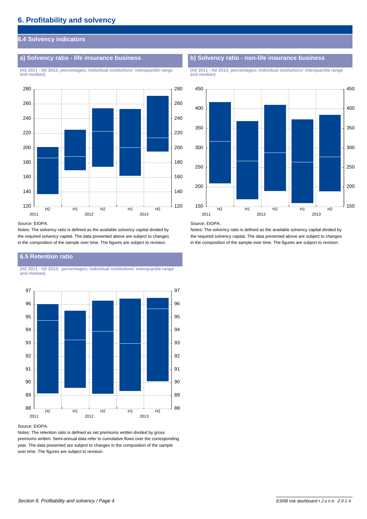# **6.4 Solvency indicators**

**(H2 2011 - H2 2013; percentages; individual institutions' interquartile range (H2 2011 - H2 2013; percentages; individual institutions' interquartile range**



#### Source: EIOPA.

Notes: The solvency ratio is defined as the available solvency capital divided by the required solvency capital. The data presented above are subject to changes in the composition of the sample over time. The figures are subject to revision.

# **6.5 Retention ratio**

**(H2 2011 - H2 2013; percentages; individual institutions' interquartile range and median)**



#### Source: EIOPA.

Notes: The retention ratio is defined as net premiums written divided by gross premiums written. Semi-annual data refer to cumulative flows over the corresponding year. The data presented are subject to changes in the composition of the sample over time. The figures are subject to revision.

### **a) Solvency ratio - life insurance business b) Solvency ratio - non-life insurance business**

**and median) and median)**



#### Source: EIOPA.

Notes: The solvency ratio is defined as the available solvency capital divided by the required solvency capital. The data presented above are subject to changes in the composition of the sample over time. The figures are subject to revision.